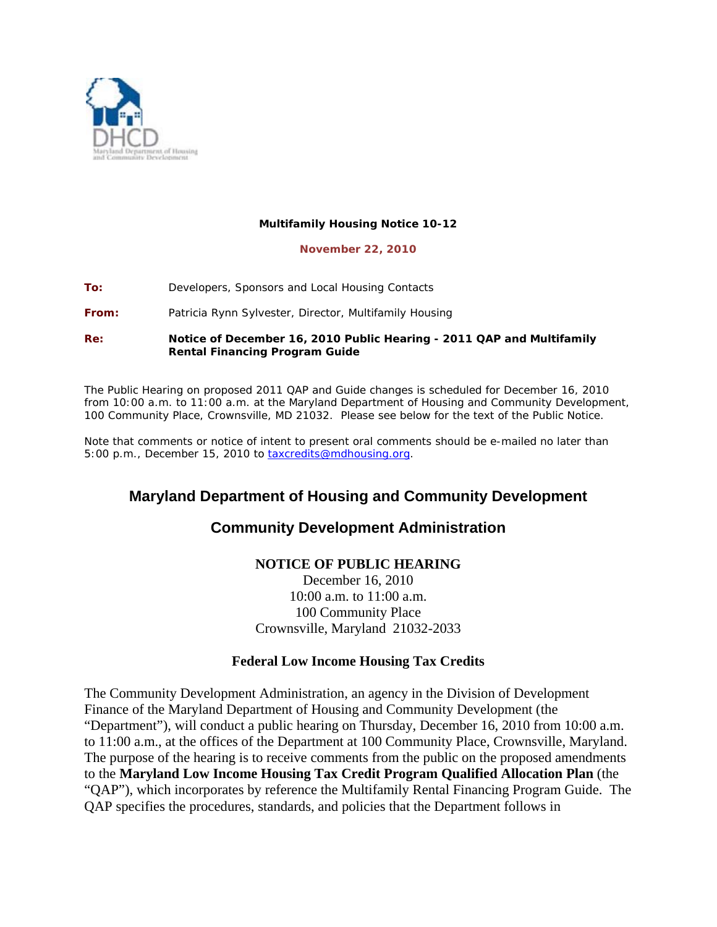

#### **Multifamily Housing Notice 10-12**

#### **November 22, 2010**

**To:** Developers, Sponsors and Local Housing Contacts

**From:** Patricia Rynn Sylvester, Director, Multifamily Housing

**Re:** *Notice of December 16, 2010 Public Hearing - 2011 QAP and Multifamily Rental Financing Program Guide* 

The Public Hearing on proposed 2011 QAP and Guide changes is scheduled for December 16, 2010 from 10:00 a.m. to 11:00 a.m. at the Maryland Department of Housing and Community Development, 100 Community Place, Crownsville, MD 21032. Please see below for the text of the Public Notice.

Note that comments or notice of intent to present oral comments should be e-mailed no later than 5:00 p.m., December 15, 2010 to **[taxcredits@mdhousing.org](mailto:taxcredits@mdhousing.org).** 

# **Maryland Department of Housing and Community Development**

# **Community Development Administration**

## **NOTICE OF PUBLIC HEARING**

December 16, 2010 10:00 a.m. to 11:00 a.m. 100 Community Place Crownsville, Maryland 21032-2033

### **Federal Low Income Housing Tax Credits**

The Community Development Administration, an agency in the Division of Development Finance of the Maryland Department of Housing and Community Development (the "Department"), will conduct a public hearing on Thursday, December 16, 2010 from 10:00 a.m. to 11:00 a.m., at the offices of the Department at 100 Community Place, Crownsville, Maryland. The purpose of the hearing is to receive comments from the public on the proposed amendments to the **Maryland Low Income Housing Tax Credit Program Qualified Allocation Plan** (the "QAP"), which incorporates by reference the Multifamily Rental Financing Program Guide. The QAP specifies the procedures, standards, and policies that the Department follows in